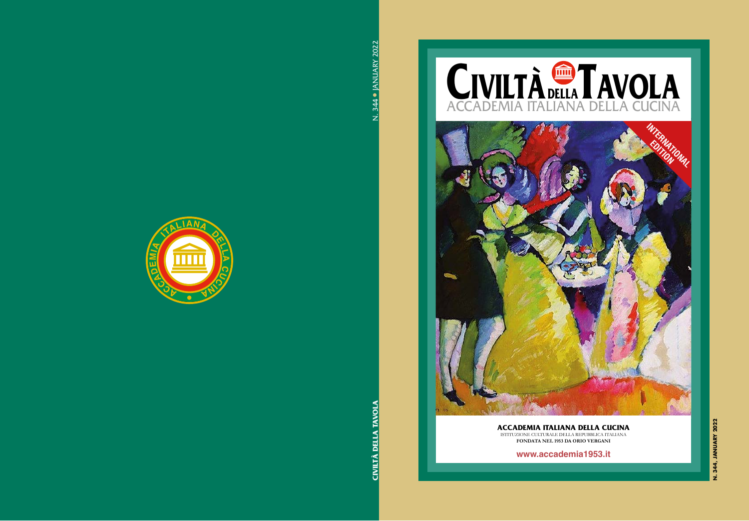



#### **ACCADEMIA ITALIANA DELLA CUCINA** ISTITUZIONE CULTURALE DELLA REPUBBLICA ITALIANA

**FONDATA NEL 1953 DA ORIO VERGANI**

**www.accademia1953.it**

N. 344, JANUARY 2022 **N. 344, JANUARY 2022**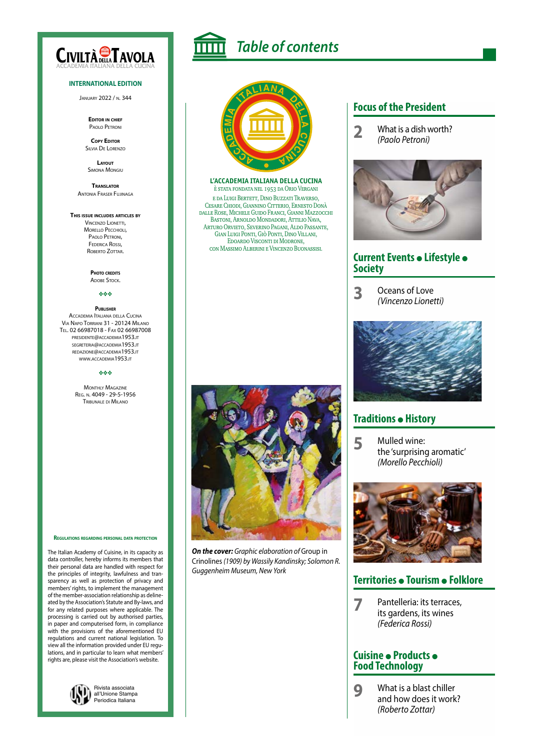

#### **INTERNATIONAL EDITION**

January 2022 / n. 344

**Editor in chief** Paolo Petroni

**Copy Editor** Silvia De Lorenzo

**Layout** Simona Mongiu

**Translator** Antonia Fraser Fujinaga

#### **This issue includes articles by**

Vincenzo Lionetti, MORELLO PECCHIOLI, Paolo Petroni, Federica Rossi, ROBERTO ZOTTAR

> **Photo credits ADOBE STOCK.**

#### vvv

**Publisher** Accademia Italiana della Cucina Via Napo Torriani 31 - 20124 Milano Tel. 02 66987018 - Fax 02 66987008 presidente@accademia1953.it segreteria@accademia1953.it redazione@accademia1953.it www.accademia1953.it

#### vvv

**MONTHLY MAGAZINE** Reg. n. 4049 - 29-5-1956 Tribunale di Milano



The Italian Academy of Cuisine, in its capacity as data controller, hereby informs its members that their personal data are handled with respect for the principles of integrity, lawfulness and transparency as well as protection of privacy and members' rights, to implement the management of the member-association relationship as delineated by the Association's Statute and By-laws, and for any related purposes where applicable. The processing is carried out by authorised parties, in paper and computerised form, in compliance with the provisions of the aforementioned EU regulations and current national legislation. To view all the information provided under EU regulations, and in particular to learn what members' rights are, please visit the Association's website.



*Table of contents*



#### **L'ACCADEMIA ITALIANA DELLA CUCINA** è stata fondata nel 1953 da Orio Vergani

e da Luigi Bertett, Dino Buzzati Traverso, Cesare Chiodi, Giannino Citterio, Ernesto Donà dalle Rose, Michele Guido Franci, Gianni Mazzocchi Bastoni, Arnoldo Mondadori, Attilio Nava, Arturo Orvieto, Severino Pagani, Aldo Passante, Gian Luigi Ponti, Giò Ponti, Dino Villani, Edoardo Visconti di Modrone, con Massimo Alberini e Vincenzo Buonassisi.



*On the cover: Graphic elaboration of* Group in Crinolines *(1909) by Wassily Kandinsky; Solomon R. Guggenheim Museum, New York*

#### **Focus of the President**

**2** What is a dish worth? *(Paolo Petroni)*



#### **Current Events · Lifestyle · Society**

**3** Oceans of Love *(Vincenzo Lionetti)*



### **Traditions • History**

**5** Mulled wine: the 'surprising aromatic' *(Morello Pecchioli)*



#### **Territories • Tourism • Folklore**

**7** Pantelleria: its terraces, its gardens, its wines *(Federica Rossi)*

#### **Cuisine · Products · Food Technology**

**9** What is a blast chiller and how does it work? *(Roberto Zottar)*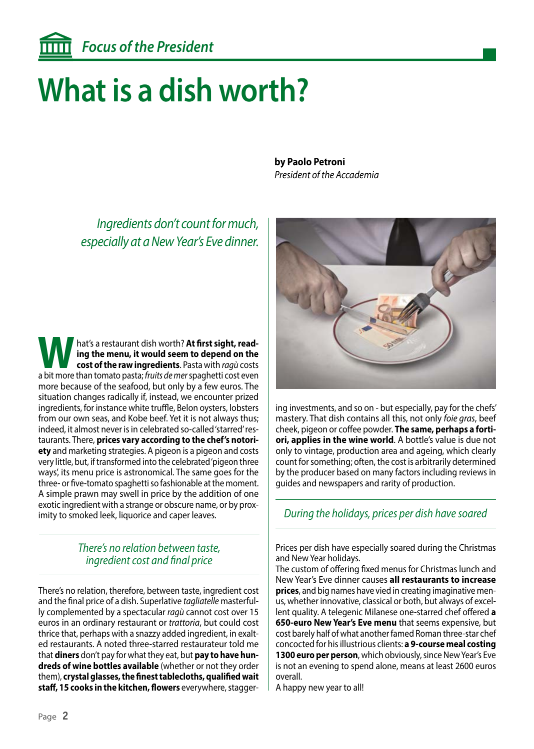# **What is a dish worth?**

*Ingredients don't count for much, especially at a New Year's Eve dinner.*

hat's a restaurant dish worth? At first sight, read**ing the menu, it would seem to depend on the cost of the raw ingredients**. Pasta with *ragù* costs a bit more than tomato pasta; *fruits de mer* spaghetti cost even more because of the seafood, but only by a few euros. The situation changes radically if, instead, we encounter prized ingredients, for instance white truffle, Belon oysters, lobsters from our own seas, and Kobe beef. Yet it is not always thus; indeed, it almost never is in celebrated so-called 'starred' restaurants. There, **prices vary according to the chef's notoriety** and marketing strategies. A pigeon is a pigeon and costs very little, but, if transformed into the celebrated 'pigeon three ways', its menu price is astronomical. The same goes for the three- or five-tomato spaghetti so fashionable at the moment. A simple prawn may swell in price by the addition of one exotic ingredient with a strange or obscure name, or by proximity to smoked leek, liquorice and caper leaves.

### *There's no relation between taste, ingredient cost and final price*

There's no relation, therefore, between taste, ingredient cost and the final price of a dish. Superlative *tagliatelle* masterfully complemented by a spectacular *ragù* cannot cost over 15 euros in an ordinary restaurant or *trattoria*, but could cost thrice that, perhaps with a snazzy added ingredient, in exalted restaurants. A noted three-starred restaurateur told me that **diners** don't pay for what they eat, but **pay to have hundreds of wine bottles available** (whether or not they order them), **crystal glasses, the finest tablecloths, qualified wait staff, 15 cooks in the kitchen, flowers** everywhere, stagger**by Paolo Petroni**  *President of the Accademia*



ing investments, and so on - but especially, pay for the chefs' mastery. That dish contains all this, not only *foie gras*, beef cheek, pigeon or coffee powder. **The same, perhaps a fortiori, applies in the wine world**. A bottle's value is due not only to vintage, production area and ageing, which clearly count for something; often, the cost is arbitrarily determined by the producer based on many factors including reviews in guides and newspapers and rarity of production.

## *During the holidays, prices per dish have soared*

Prices per dish have especially soared during the Christmas and New Year holidays.

The custom of offering fixed menus for Christmas lunch and New Year's Eve dinner causes **all restaurants to increase prices**, and big names have vied in creating imaginative menus, whether innovative, classical or both, but always of excellent quality. A telegenic Milanese one-starred chef offered **a 650-euro New Year's Eve menu** that seems expensive, but cost barely half of what another famed Roman three-star chef concocted for his illustrious clients: **a 9-course meal costing 1300 euro per person**, which obviously, since New Year's Eve is not an evening to spend alone, means at least 2600 euros overall.

A happy new year to all!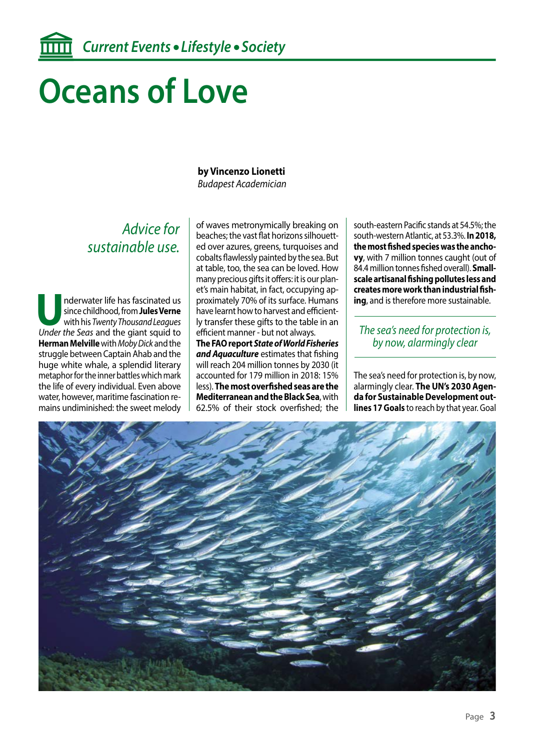# **Oceans of Love**

#### **by Vincenzo Lionetti** *Budapest Academician*

## *Advice for sustainable use.*

Inderwater life has fascinated us<br>since childhood, from **Jules Verne**<br>with his *Twenty Thousand Leagues*<br>Under the Seas and the giant squid to since childhood, from **Jules Verne** with his *Twenty Thousand Leagues Under the Seas* and the giant squid to **Herman Melville** with *Moby Dick* and the struggle between Captain Ahab and the huge white whale, a splendid literary metaphor for the inner battles which mark the life of every individual. Even above water, however, maritime fascination remains undiminished: the sweet melody

of waves metronymically breaking on beaches; the vast flat horizons silhouetted over azures, greens, turquoises and cobalts flawlessly painted by the sea. But at table, too, the sea can be loved. How many precious gifts it offers: it is our planet's main habitat, in fact, occupying approximately 70% of its surface. Humans have learnt how to harvest and efficiently transfer these gifts to the table in an efficient manner - but not always. **The FAO report** *State of World Fisheries and Aquaculture* estimates that fishing will reach 204 million tonnes by 2030 (it accounted for 179 million in 2018: 15% less). **The most overfished seas are the Mediterranean and the Black Sea**, with 62.5% of their stock overfished; the

south-eastern Pacific stands at 54.5%; the south-western Atlantic, at 53.3%. **In 2018, the most fished species was the anchovy**, with 7 million tonnes caught (out of 84.4 million tonnes fished overall). **Smallscale artisanal fishing pollutes less and creates more work than industrial fishing**, and is therefore more sustainable.

#### *The sea's need for protection is, by now, alarmingly clear*

The sea's need for protection is, by now, alarmingly clear. **The UN's 2030 Agenda for Sustainable Development outlines 17 Goals** to reach by that year. Goal

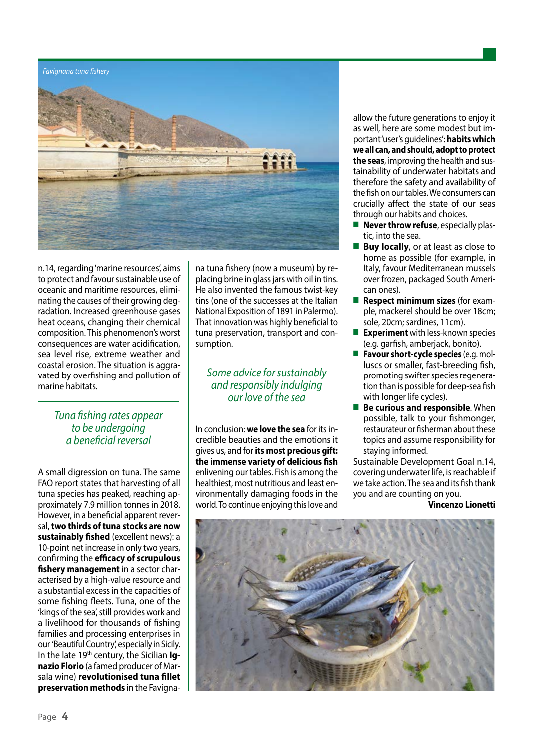#### *Favignana tuna fishery*



n.14, regarding 'marine resources', aims to protect and favour sustainable use of oceanic and maritime resources, eliminating the causes of their growing degradation. Increased greenhouse gases heat oceans, changing their chemical composition. This phenomenon's worst consequences are water acidification, sea level rise, extreme weather and coastal erosion. The situation is aggravated by overfishing and pollution of marine habitats.

#### *Tuna fishing rates appear to be undergoing a beneficial reversal*

A small digression on tuna. The same FAO report states that harvesting of all tuna species has peaked, reaching approximately 7.9 million tonnes in 2018. However, in a beneficial apparent reversal, **two thirds of tuna stocks are now sustainably fished** (excellent news): a 10-point net increase in only two years, confirming the **efficacy of scrupulous fishery management** in a sector characterised by a high-value resource and a substantial excess in the capacities of some fishing fleets. Tuna, one of the 'kings of the sea', still provides work and a livelihood for thousands of fishing families and processing enterprises in our 'Beautiful Country', especially in Sicily. In the late 19th century, the Sicilian **Ignazio Florio** (a famed producer of Marsala wine) **revolutionised tuna fillet preservation methods** in the Favigna-

na tuna fishery (now a museum) by replacing brine in glass jars with oil in tins. He also invented the famous twist-key tins (one of the successes at the Italian National Exposition of 1891 in Palermo). That innovation was highly beneficial to tuna preservation, transport and consumption.

*Some advice for sustainably and responsibly indulging our love of the sea*

In conclusion: **we love the sea** for its incredible beauties and the emotions it gives us, and for **its most precious gift: the immense variety of delicious fish** enlivening our tables. Fish is among the healthiest, most nutritious and least environmentally damaging foods in the world. To continue enjoying this love and

allow the future generations to enjoy it as well, here are some modest but important 'user's guidelines': **habits which we all can, and should, adopt to protect the seas**, improving the health and sustainability of underwater habitats and therefore the safety and availability of the fish on our tables. We consumers can crucially affect the state of our seas through our habits and choices.

- **Never throw refuse**, especially plastic, into the sea.
- **Buy locally**, or at least as close to home as possible (for example, in Italy, favour Mediterranean mussels over frozen, packaged South American ones).
- **Respect minimum sizes** (for example, mackerel should be over 18cm; sole, 20cm; sardines, 11cm).
- **Experiment** with less-known species (e.g. garfish, amberjack, bonito).
- **Favour short-cycle species** (e.g. molluscs or smaller, fast-breeding fish, promoting swifter species regeneration than is possible for deep-sea fish with longer life cycles).
- **Be curious and responsible**. When possible, talk to your fishmonger, restaurateur or fisherman about these topics and assume responsibility for staying informed.

Sustainable Development Goal n.14, covering underwater life, is reachable if we take action. The sea and its fish thank you and are counting on you.

#### **Vincenzo Lionetti**

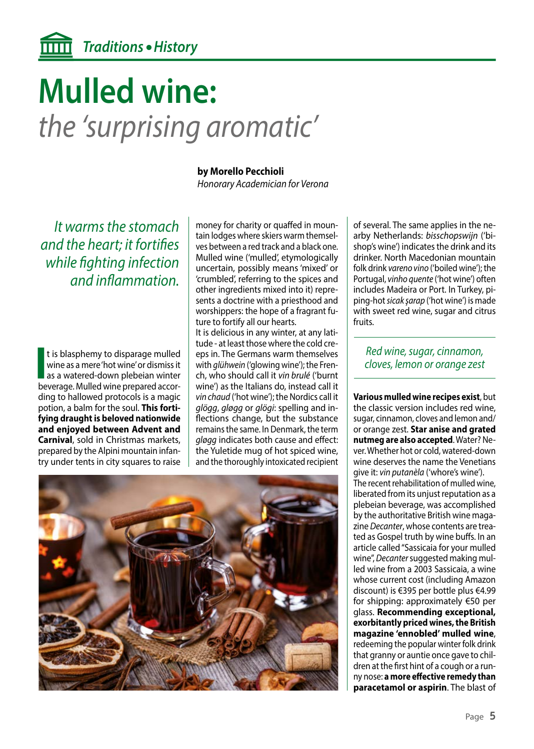# **Mulled wine:** *the 'surprising aromatic'*

*It warms the stomach and the heart; it fortifies while fighting infection and inflammation.*

**I** t is blasphemy to disparage mulled wine as a mere 'hot wine' or dismiss it as a watered-down plebeian winter beverage. Mulled wine prepared accort is blasphemy to disparage mulled wine as a mere 'hot wine' or dismiss it as a watered-down plebeian winter ding to hallowed protocols is a magic potion, a balm for the soul. **This fortifying draught is beloved nationwide and enjoyed between Advent and Carnival**, sold in Christmas markets, prepared by the Alpini mountain infantry under tents in city squares to raise

#### **by Morello Pecchioli**

*Honorary Academician for Verona*

money for charity or quaffed in mountain lodges where skiers warm themselves between a red track and a black one. Mulled wine ('mulled', etymologically uncertain, possibly means 'mixed' or 'crumbled', referring to the spices and other ingredients mixed into it) represents a doctrine with a priesthood and worshippers: the hope of a fragrant future to fortify all our hearts. It is delicious in any winter, at any lati-

tude - at least those where the cold creeps in. The Germans warm themselves with *glühwein* ('glowing wine'); the French, who should call it *vin brulé* ('burnt wine') as the Italians do, instead call it *vin chaud* ('hot wine'); the Nordics call it *glögg*, *gløgg* or *glögi*: spelling and inflections change, but the substance remains the same. In Denmark, the term *gløgg* indicates both cause and effect: the Yuletide mug of hot spiced wine, and the thoroughly intoxicated recipient



of several. The same applies in the nearby Netherlands: *bisschopswijn* ('bishop's wine') indicates the drink and its drinker. North Macedonian mountain folk drink *vareno vino* ('boiled wine'); the Portugal, *vinho quente* ('hot wine') often includes Madeira or Port. In Turkey, piping-hot *sicak şarap* ('hot wine') is made with sweet red wine, sugar and citrus fruits.

*Red wine, sugar, cinnamon, cloves, lemon or orange zest*

**Various mulled wine recipes exist**, but the classic version includes red wine, sugar, cinnamon, cloves and lemon and/ or orange zest. **Star anise and grated nutmeg are also accepted**. Water? Never. Whether hot or cold, watered-down wine deserves the name the Venetians give it: *vin putanèla* ('whore's wine'). The recent rehabilitation of mulled wine, liberated from its unjust reputation as a plebeian beverage, was accomplished by the authoritative British wine magazine *Decanter*, whose contents are treated as Gospel truth by wine buffs. In an article called "Sassicaia for your mulled wine", *Decanter* suggested making mulled wine from a 2003 Sassicaia, a wine whose current cost (including Amazon discount) is €395 per bottle plus €4.99 for shipping: approximately €50 per glass. **Recommending exceptional, exorbitantly priced wines, the British magazine 'ennobled' mulled wine**, redeeming the popular winter folk drink that granny or auntie once gave to children at the first hint of a cough or a runny nose: **a more effective remedy than paracetamol or aspirin**. The blast of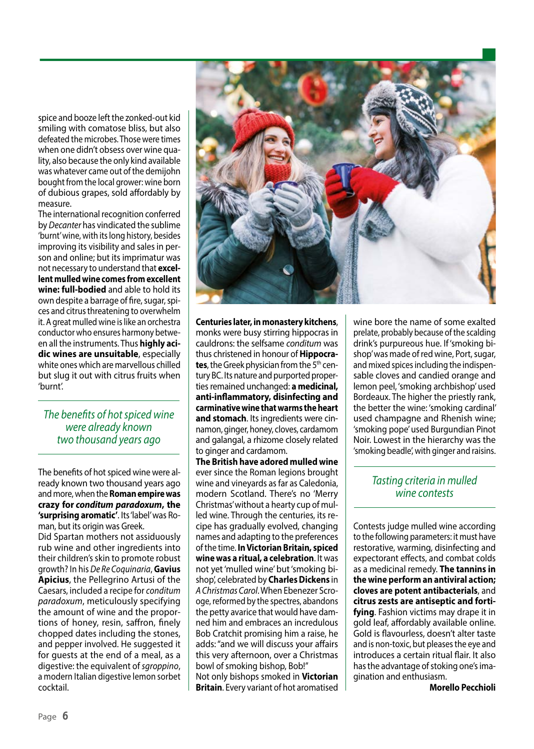spice and booze left the zonked-out kid smiling with comatose bliss, but also defeated the microbes. Those were times when one didn't obsess over wine quality, also because the only kind available was whatever came out of the demijohn bought from the local grower: wine born of dubious grapes, sold affordably by measure.

The international recognition conferred by *Decanter* has vindicated the sublime 'burnt' wine, with its long history, besides improving its visibility and sales in person and online; but its imprimatur was not necessary to understand that **excellent mulled wine comes from excellent wine: full-bodied** and able to hold its own despite a barrage of fire, sugar, spices and citrus threatening to overwhelm it. A great mulled wine is like an orchestra conductor who ensures harmony between all the instruments. Thus **highly acidic wines are unsuitable**, especially white ones which are marvellous chilled but slug it out with citrus fruits when 'burnt'.

*The benefits of hot spiced wine were already known two thousand years ago*

The benefits of hot spiced wine were already known two thousand years ago and more, when the **Roman empire was crazy for** *conditum paradoxum***, the 'surprising aromatic'**. Its 'label' was Roman, but its origin was Greek.

Did Spartan mothers not assiduously rub wine and other ingredients into their children's skin to promote robust growth? In his *De Re Coquinaria*, **Gavius Apicius**, the Pellegrino Artusi of the Caesars, included a recipe for *conditum paradoxum*, meticulously specifying the amount of wine and the proportions of honey, resin, saffron, finely chopped dates including the stones, and pepper involved. He suggested it for guests at the end of a meal, as a digestive: the equivalent of *sgroppino*, a modern Italian digestive lemon sorbet cocktail.



**Centuries later, in monastery kitchens**, monks were busy stirring hippocras in cauldrons: the selfsame *conditum* was thus christened in honour of **Hippocra**tes, the Greek physician from the 5<sup>th</sup> century BC. Its nature and purported properties remained unchanged: **a medicinal, anti-inflammatory, disinfecting and carminative wine that warms the heart and stomach**. Its ingredients were cinnamon, ginger, honey, cloves, cardamom and galangal, a rhizome closely related to ginger and cardamom.

**The British have adored mulled wine** ever since the Roman legions brought wine and vineyards as far as Caledonia, modern Scotland. There's no 'Merry Christmas' without a hearty cup of mulled wine. Through the centuries, its recipe has gradually evolved, changing names and adapting to the preferences of the time. **In Victorian Britain, spiced wine was a ritual, a celebration**. It was not yet 'mulled wine' but 'smoking bishop', celebrated by **Charles Dickens** in *A Christmas Carol*. When Ebenezer Scrooge, reformed by the spectres, abandons the petty avarice that would have damned him and embraces an incredulous Bob Cratchit promising him a raise, he adds: "and we will discuss your affairs this very afternoon, over a Christmas bowl of smoking bishop, Bob!" Not only bishops smoked in **Victorian Britain**. Every variant of hot aromatised

wine bore the name of some exalted prelate, probably because of the scalding drink's purpureous hue. If 'smoking bishop' was made of red wine, Port, sugar, and mixed spices including the indispensable cloves and candied orange and lemon peel, 'smoking archbishop' used Bordeaux. The higher the priestly rank, the better the wine: 'smoking cardinal' used champagne and Rhenish wine; 'smoking pope' used Burgundian Pinot Noir. Lowest in the hierarchy was the 'smoking beadle', with ginger and raisins.

### *Tasting criteria in mulled wine contests*

Contests judge mulled wine according to the following parameters: it must have restorative, warming, disinfecting and expectorant effects, and combat colds as a medicinal remedy. **The tannins in the wine perform an antiviral action; cloves are potent antibacterials**, and **citrus zests are antiseptic and fortifying**. Fashion victims may drape it in gold leaf, affordably available online. Gold is flavourless, doesn't alter taste and is non-toxic, but pleases the eye and introduces a certain ritual flair. It also has the advantage of stoking one's imagination and enthusiasm.

**Morello Pecchioli**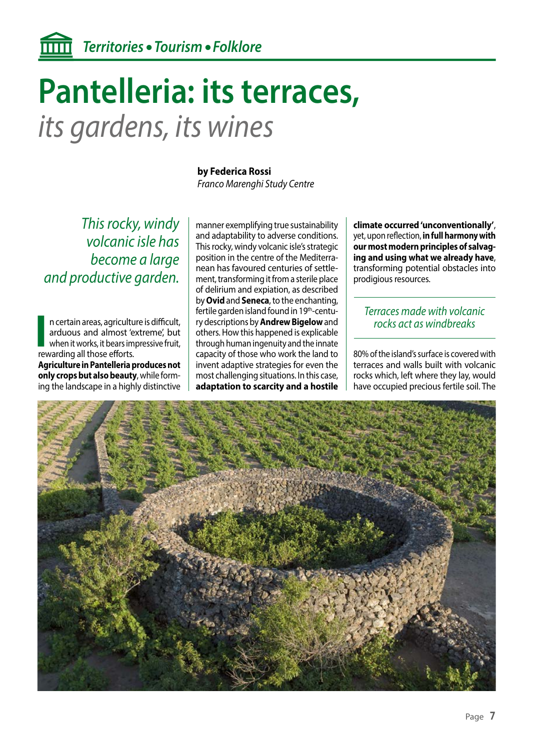## **Pantelleria: its terraces,**  *its gardens, its wines*

*This rocky, windy volcanic isle has become a large and productive garden.*

**I** n certain areas, agricultuarduous and almost 's when it works, it bears im rewarding all those efforts. n certain areas, agriculture is difficult, arduous and almost 'extreme', but when it works, it bears impressive fruit,

**Agriculture in Pantelleria produces not only crops but also beauty**, while forming the landscape in a highly distinctive

#### **by Federica Rossi**

*Franco Marenghi Study Centre*

manner exemplifying true sustainability and adaptability to adverse conditions. This rocky, windy volcanic isle's strategic position in the centre of the Mediterranean has favoured centuries of settlement, transforming it from a sterile place of delirium and expiation, as described by **Ovid** and **Seneca**, to the enchanting, fertile garden island found in 19<sup>th</sup>-century descriptions by **Andrew Bigelow** and others. How this happened is explicable through human ingenuity and the innate capacity of those who work the land to invent adaptive strategies for even the most challenging situations. In this case, **adaptation to scarcity and a hostile** 

**climate occurred 'unconventionally'**, yet, upon reflection, **in full harmony with our most modern principles of salvaging and using what we already have**, transforming potential obstacles into prodigious resources.

### *Terraces made with volcanic rocks act as windbreaks*

80% of the island's surface is covered with terraces and walls built with volcanic rocks which, left where they lay, would have occupied precious fertile soil. The

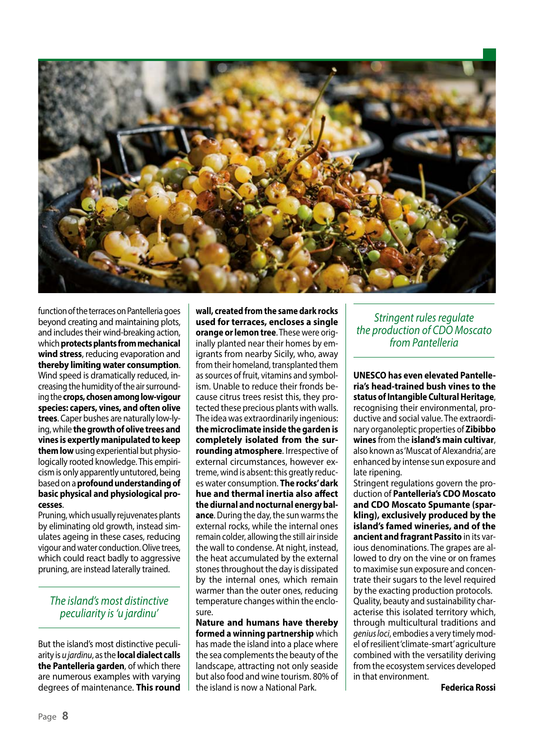

function of the terraces on Pantelleria goes beyond creating and maintaining plots, and includes their wind-breaking action, which **protects plants from mechanical wind stress**, reducing evaporation and **thereby limiting water consumption**. Wind speed is dramatically reduced, increasing the humidity of the air surrounding the **crops, chosen among low-vigour species: capers, vines, and often olive trees**. Caper bushes are naturally low-lying, while **the growth of olive trees and vines is expertly manipulated to keep them low** using experiential but physiologically rooted knowledge. This empiricism is only apparently untutored, being based on a **profound understanding of basic physical and physiological processes**.

Pruning, which usually rejuvenates plants by eliminating old growth, instead simulates ageing in these cases, reducing vigour and water conduction. Olive trees, which could react badly to aggressive pruning, are instead laterally trained.

*The island's most distinctive peculiarity is 'u jardinu'*

But the island's most distinctive peculiarity is *u jardinu*, as the **local dialect calls the Pantelleria garden**, of which there are numerous examples with varying degrees of maintenance. **This round**  **wall, created from the same dark rocks used for terraces, encloses a single orange or lemon tree**. These were originally planted near their homes by emigrants from nearby Sicily, who, away from their homeland, transplanted them as sources of fruit, vitamins and symbolism. Unable to reduce their fronds because citrus trees resist this, they protected these precious plants with walls. The idea was extraordinarily ingenious: **the microclimate inside the garden is completely isolated from the surrounding atmosphere**. Irrespective of external circumstances, however extreme, wind is absent: this greatly reduces water consumption. **The rocks' dark hue and thermal inertia also affect the diurnal and nocturnal energy balance**. During the day, the sun warms the external rocks, while the internal ones remain colder, allowing the still air inside the wall to condense. At night, instead, the heat accumulated by the external stones throughout the day is dissipated by the internal ones, which remain warmer than the outer ones, reducing temperature changes within the enclosure.

**Nature and humans have thereby formed a winning partnership** which has made the island into a place where the sea complements the beauty of the landscape, attracting not only seaside but also food and wine tourism. 80% of the island is now a National Park.

*Stringent rules regulate the production of CDO Moscato from Pantelleria*

**UNESCO has even elevated Pantelleria's head-trained bush vines to the status of Intangible Cultural Heritage**, recognising their environmental, productive and social value. The extraordinary organoleptic properties of **Zibibbo wines** from the **island's main cultivar**, also known as 'Muscat of Alexandria', are enhanced by intense sun exposure and late ripening.

Stringent regulations govern the production of **Pantelleria's CDO Moscato and CDO Moscato Spumante (sparkling), exclusively produced by the island's famed wineries, and of the ancient and fragrant Passito** in its various denominations. The grapes are allowed to dry on the vine or on frames to maximise sun exposure and concentrate their sugars to the level required by the exacting production protocols. Quality, beauty and sustainability characterise this isolated territory which, through multicultural traditions and *genius loci*, embodies a very timely model of resilient 'climate-smart' agriculture combined with the versatility deriving from the ecosystem services developed in that environment.

**Federica Rossi**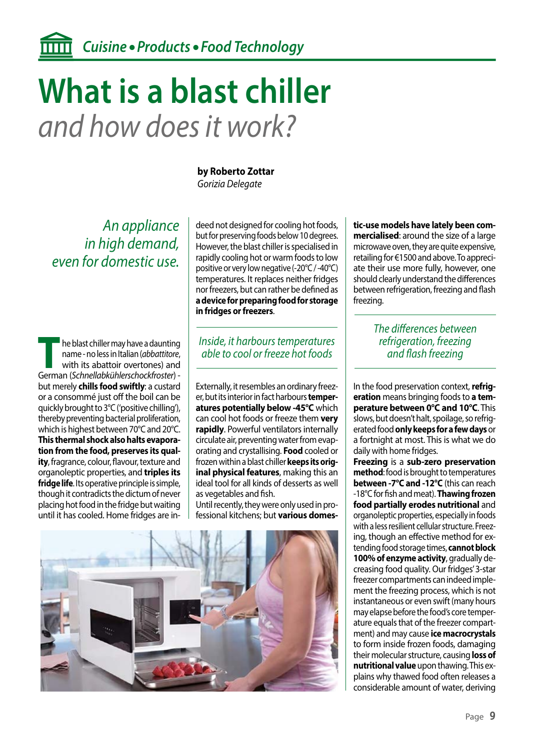## **What is a blast chiller** *and how does it work?*

*An appliance in high demand, even for domestic use.*

**The blast chiller may have a daunting<br>
name - no less in Italian (***abbattitore***,<br>
with its abattoir overtones) and<br>
German (Schnellabkühlerschockfroster)** name - no less in Italian (*abbattitore*, with its abattoir overtones) and German (*Schnellabkühlerschockfroster*) but merely **chills food swiftly**: a custard or a consommé just off the boil can be quickly brought to 3°C ('positive chilling'), thereby preventing bacterial proliferation, which is highest between 70°C and 20°C. **This thermal shock also halts evaporation from the food, preserves its quality**, fragrance, colour, flavour, texture and organoleptic properties, and **triples its fridge life**. Its operative principle is simple, though it contradicts the dictum of never placing hot food in the fridge but waiting until it has cooled. Home fridges are in**by Roberto Zottar**  *Gorizia Delegate*

deed not designed for cooling hot foods, but for preserving foods below 10 degrees. However, the blast chiller is specialised in rapidly cooling hot or warm foods to low positive or very low negative (-20°C / -40°C) temperatures. It replaces neither fridges nor freezers, but can rather be defined as **a device for preparing food for storage in fridges or freezers**.

#### *Inside, it harbours temperatures able to cool or freeze hot foods*

Externally, it resembles an ordinary freezer, but its interior in fact harbours **temperatures potentially below -45°C** which can cool hot foods or freeze them **very rapidly**. Powerful ventilators internally circulate air, preventing water from evaporating and crystallising. **Food** cooled or frozen within a blast chiller **keeps its original physical features**, making this an ideal tool for all kinds of desserts as well as vegetables and fish.

Until recently, they were only used in professional kitchens; but **various domes-**



**tic-use models have lately been commercialised**: around the size of a large microwave oven, they are quite expensive, retailing for €1500 and above. To appreciate their use more fully, however, one should clearly understand the differences between refrigeration, freezing and flash freezing.

### *The differences between refrigeration, freezing and flash freezing*

In the food preservation context, **refrigeration** means bringing foods to **a temperature between 0°C and 10°C**. This slows, but doesn't halt, spoilage, so refrigerated food **only keeps for a few days** or a fortnight at most. This is what we do daily with home fridges.

**Freezing** is a **sub-zero preservation method**: food is brought to temperatures **between -7°C and -12°C** (this can reach -18°C for fish and meat). **Thawing frozen food partially erodes nutritional** and organoleptic properties, especially in foods with a less resilient cellular structure. Freezing, though an effective method for extending food storage times, **cannot block 100% of enzyme activity**, gradually decreasing food quality. Our fridges' 3-star freezer compartments can indeed implement the freezing process, which is not instantaneous or even swift (many hours may elapse before the food's core temperature equals that of the freezer compartment) and may cause **ice macrocrystals** to form inside frozen foods, damaging their molecular structure, causing **loss of nutritional value** upon thawing. This explains why thawed food often releases a considerable amount of water, deriving